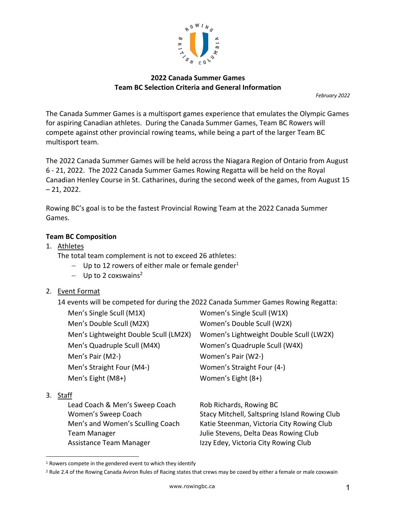

# **2022 Canada Summer Games Team BC Selection Criteria and General Information**

*February 2022*

The Canada Summer Games is a multisport games experience that emulates the Olympic Games for aspiring Canadian athletes. During the Canada Summer Games, Team BC Rowers will compete against other provincial rowing teams, while being a part of the larger Team BC multisport team.

The 2022 Canada Summer Games will be held across the Niagara Region of Ontario from August 6 - 21, 2022. The 2022 Canada Summer Games Rowing Regatta will be held on the Royal Canadian Henley Course in St. Catharines, during the second week of the games, from August 15  $-21, 2022.$ 

Rowing BC's goal is to be the fastest Provincial Rowing Team at the 2022 Canada Summer Games.

# **Team BC Composition**

1. Athletes

The total team complement is not to exceed 26 athletes:

- Up to 12 rowers of either male or female gender<sup>1</sup>
- $-$  Up to 2 coxswains<sup>2</sup>
- 2. Event Format

14 events will be competed for during the 2022 Canada Summer Games Rowing Regatta:

| Men's Single Scull (M1X)              | Women's Single Scull (W1X)              |  |
|---------------------------------------|-----------------------------------------|--|
| Men's Double Scull (M2X)              | Women's Double Scull (W2X)              |  |
| Men's Lightweight Double Scull (LM2X) | Women's Lightweight Double Scull (LW2X) |  |
| Men's Quadruple Scull (M4X)           | Women's Quadruple Scull (W4X)           |  |
| Men's Pair (M2-)                      | Women's Pair (W2-)                      |  |
| Men's Straight Four (M4-)             | Women's Straight Four (4-)              |  |
| Men's Eight (M8+)                     | Women's Eight (8+)                      |  |
| <b>rr</b>                             |                                         |  |

### 3. Staff

Lead Coach & Men's Sweep Coach Rob Richards, Rowing BC Team Manager Team Manager Allers Stevens, Delta Deas Rowing Club Assistance Team Manager **Izzy Edey, Victoria City Rowing Club** 

Women's Sweep Coach Stacy Mitchell, Saltspring Island Rowing Club Men's and Women's Sculling Coach Katie Steenman, Victoria City Rowing Club

<sup>&</sup>lt;sup>1</sup> Rowers compete in the gendered event to which they identify

<sup>&</sup>lt;sup>2</sup> Rule 2.4 of the Rowing Canada Aviron Rules of Racing states that crews may be coxed by either a female or male coxswain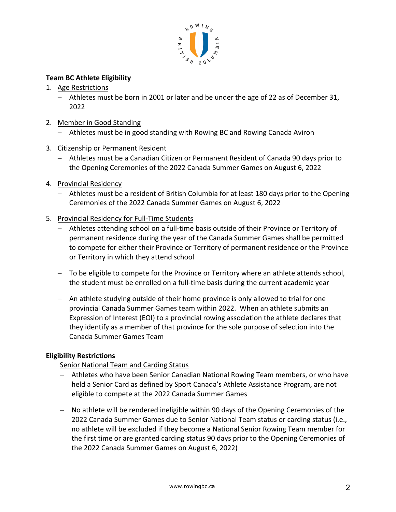

### **Team BC Athlete Eligibility**

- 1. Age Restrictions
	- Athletes must be born in 2001 or later and be under the age of 22 as of December 31, 2022
- 2. Member in Good Standing
	- Athletes must be in good standing with Rowing BC and Rowing Canada Aviron
- 3. Citizenship or Permanent Resident
	- Athletes must be a Canadian Citizen or Permanent Resident of Canada 90 days prior to the Opening Ceremonies of the 2022 Canada Summer Games on August 6, 2022
- 4. Provincial Residency
	- Athletes must be a resident of British Columbia for at least 180 days prior to the Opening Ceremonies of the 2022 Canada Summer Games on August 6, 2022
- 5. Provincial Residency for Full-Time Students
	- Athletes attending school on a full-time basis outside of their Province or Territory of permanent residence during the year of the Canada Summer Games shall be permitted to compete for either their Province or Territory of permanent residence or the Province or Territory in which they attend school
	- To be eligible to compete for the Province or Territory where an athlete attends school, the student must be enrolled on a full-time basis during the current academic year
	- An athlete studying outside of their home province is only allowed to trial for one provincial Canada Summer Games team within 2022. When an athlete submits an Expression of Interest (EOI) to a provincial rowing association the athlete declares that they identify as a member of that province for the sole purpose of selection into the Canada Summer Games Team

### **Eligibility Restrictions**

# Senior National Team and Carding Status

- Athletes who have been Senior Canadian National Rowing Team members, or who have held a Senior Card as defined by Sport Canada's Athlete Assistance Program, are not eligible to compete at the 2022 Canada Summer Games
- No athlete will be rendered ineligible within 90 days of the Opening Ceremonies of the 2022 Canada Summer Games due to Senior National Team status or carding status (i.e., no athlete will be excluded if they become a National Senior Rowing Team member for the first time or are granted carding status 90 days prior to the Opening Ceremonies of the 2022 Canada Summer Games on August 6, 2022)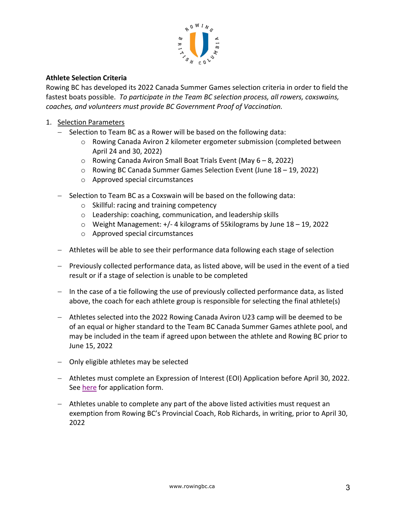

### **Athlete Selection Criteria**

Rowing BC has developed its 2022 Canada Summer Games selection criteria in order to field the fastest boats possible. *To participate in the Team BC selection process, all rowers, coxswains, coaches, and volunteers must provide BC Government Proof of Vaccination.*

- 1. Selection Parameters
	- Selection to Team BC as a Rower will be based on the following data:
		- o Rowing Canada Aviron 2 kilometer ergometer submission (completed between April 24 and 30, 2022)
		- o Rowing Canada Aviron Small Boat Trials Event (May 6 8, 2022)
		- o Rowing BC Canada Summer Games Selection Event (June 18 19, 2022)
		- o Approved special circumstances
	- Selection to Team BC as a Coxswain will be based on the following data:
		- o Skillful: racing and training competency
		- o Leadership: coaching, communication, and leadership skills
		- o Weight Management: +/- 4 kilograms of 55kilograms by June 18 19, 2022
		- o Approved special circumstances
	- Athletes will be able to see their performance data following each stage of selection
	- Previously collected performance data, as listed above, will be used in the event of a tied result or if a stage of selection is unable to be completed
	- $-$  In the case of a tie following the use of previously collected performance data, as listed above, the coach for each athlete group is responsible for selecting the final athlete(s)
	- Athletes selected into the 2022 Rowing Canada Aviron U23 camp will be deemed to be of an equal or higher standard to the Team BC Canada Summer Games athlete pool, and may be included in the team if agreed upon between the athlete and Rowing BC prior to June 15, 2022
	- Only eligible athletes may be selected
	- Athletes must complete an Expression of Interest (EOI) Application before April 30, 2022. See here for application form.
	- Athletes unable to complete any part of the above listed activities must request an exemption from Rowing BC's Provincial Coach, Rob Richards, in writing, prior to April 30, 2022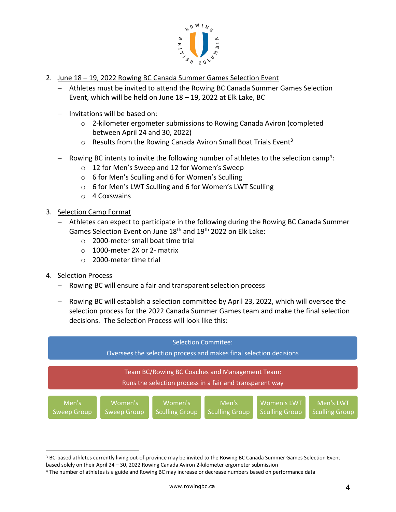

- 2. June 18 19, 2022 Rowing BC Canada Summer Games Selection Event
	- Athletes must be invited to attend the Rowing BC Canada Summer Games Selection Event, which will be held on June 18 – 19, 2022 at Elk Lake, BC
	- Invitations will be based on:
		- o 2-kilometer ergometer submissions to Rowing Canada Aviron (completed between April 24 and 30, 2022)
		- $\circ$  Results from the Rowing Canada Aviron Small Boat Trials Event<sup>3</sup>
	- $-$  Rowing BC intents to invite the following number of athletes to the selection camp<sup>4</sup>:
		- o 12 for Men's Sweep and 12 for Women's Sweep
		- o 6 for Men's Sculling and 6 for Women's Sculling
		- o 6 for Men's LWT Sculling and 6 for Women's LWT Sculling
		- o 4 Coxswains
- 3. Selection Camp Format
	- Athletes can expect to participate in the following during the Rowing BC Canada Summer Games Selection Event on June 18th and 19th 2022 on Elk Lake:
		- o 2000-meter small boat time trial
		- o 1000-meter 2X or 2- matrix
		- o 2000-meter time trial
- 4. Selection Process
	- Rowing BC will ensure a fair and transparent selection process
	- Rowing BC will establish a selection committee by April 23, 2022, which will oversee the selection process for the 2022 Canada Summer Games team and make the final selection decisions. The Selection Process will look like this:



<sup>&</sup>lt;sup>3</sup> BC-based athletes currently living out-of-province may be invited to the Rowing BC Canada Summer Games Selection Event based solely on their April 24 – 30, 2022 Rowing Canada Aviron 2-kilometer ergometer submission